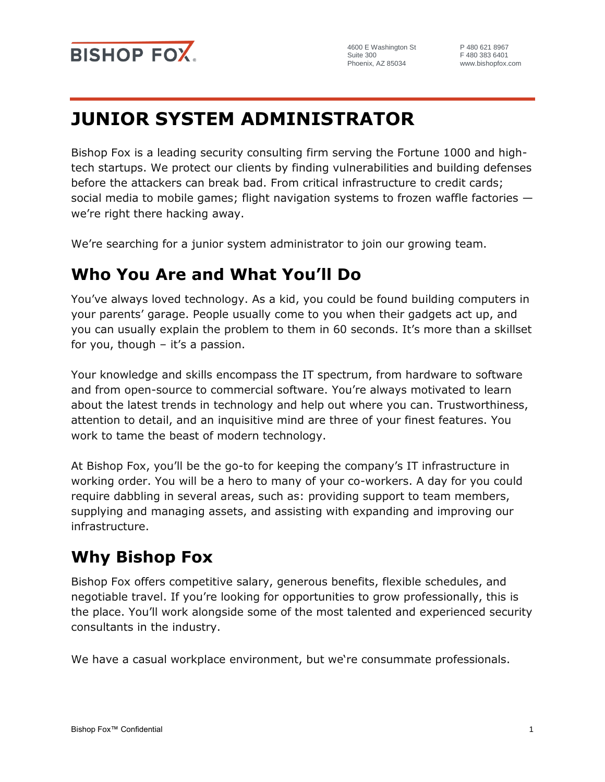

4600 E Washington St Suite 300 Phoenix, AZ 85034

P 480 621 8967 F 480 383 6401 www.bishopfox.com

# **JUNIOR SYSTEM ADMINISTRATOR**

Bishop Fox is a leading security consulting firm serving the Fortune 1000 and hightech startups. We protect our clients by finding vulnerabilities and building defenses before the attackers can break bad. From critical infrastructure to credit cards; social media to mobile games; flight navigation systems to frozen waffle factories we're right there hacking away.

We're searching for a junior system administrator to join our growing team.

## **Who You Are and What You'll Do**

You've always loved technology. As a kid, you could be found building computers in your parents' garage. People usually come to you when their gadgets act up, and you can usually explain the problem to them in 60 seconds. It's more than a skillset for you, though  $-$  it's a passion.

Your knowledge and skills encompass the IT spectrum, from hardware to software and from open-source to commercial software. You're always motivated to learn about the latest trends in technology and help out where you can. Trustworthiness, attention to detail, and an inquisitive mind are three of your finest features. You work to tame the beast of modern technology.

At Bishop Fox, you'll be the go-to for keeping the company's IT infrastructure in working order. You will be a hero to many of your co-workers. A day for you could require dabbling in several areas, such as: providing support to team members, supplying and managing assets, and assisting with expanding and improving our infrastructure.

# **Why Bishop Fox**

Bishop Fox offers competitive salary, generous benefits, flexible schedules, and negotiable travel. If you're looking for opportunities to grow professionally, this is the place. You'll work alongside some of the most talented and experienced security consultants in the industry.

We have a casual workplace environment, but we're consummate professionals.